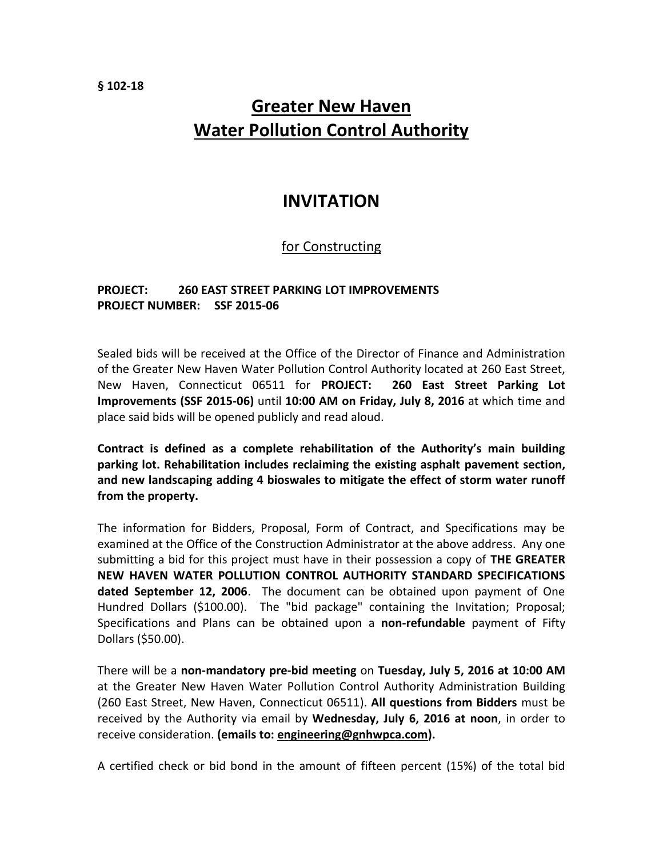## **Greater New Haven Water Pollution Control Authority**

## **INVITATION**

## for Constructing

## **PROJECT: 260 EAST STREET PARKING LOT IMPROVEMENTS PROJECT NUMBER: SSF 2015-06**

Sealed bids will be received at the Office of the Director of Finance and Administration of the Greater New Haven Water Pollution Control Authority located at 260 East Street, New Haven, Connecticut 06511 for **PROJECT: 260 East Street Parking Lot Improvements (SSF 2015-06)** until **10:00 AM on Friday, July 8, 2016** at which time and place said bids will be opened publicly and read aloud.

**Contract is defined as a complete rehabilitation of the Authority's main building parking lot. Rehabilitation includes reclaiming the existing asphalt pavement section, and new landscaping adding 4 bioswales to mitigate the effect of storm water runoff from the property.**

The information for Bidders, Proposal, Form of Contract, and Specifications may be examined at the Office of the Construction Administrator at the above address. Any one submitting a bid for this project must have in their possession a copy of **THE GREATER NEW HAVEN WATER POLLUTION CONTROL AUTHORITY STANDARD SPECIFICATIONS dated September 12, 2006**. The document can be obtained upon payment of One Hundred Dollars (\$100.00). The "bid package" containing the Invitation; Proposal; Specifications and Plans can be obtained upon a **non-refundable** payment of Fifty Dollars (\$50.00).

There will be a **non-mandatory pre-bid meeting** on **Tuesday, July 5, 2016 at 10:00 AM** at the Greater New Haven Water Pollution Control Authority Administration Building (260 East Street, New Haven, Connecticut 06511). **All questions from Bidders** must be received by the Authority via email by **Wednesday, July 6, 2016 at noon**, in order to receive consideration. **(emails to: engineering@gnhwpca.com).**

A certified check or bid bond in the amount of fifteen percent (15%) of the total bid

**§ 102-18**